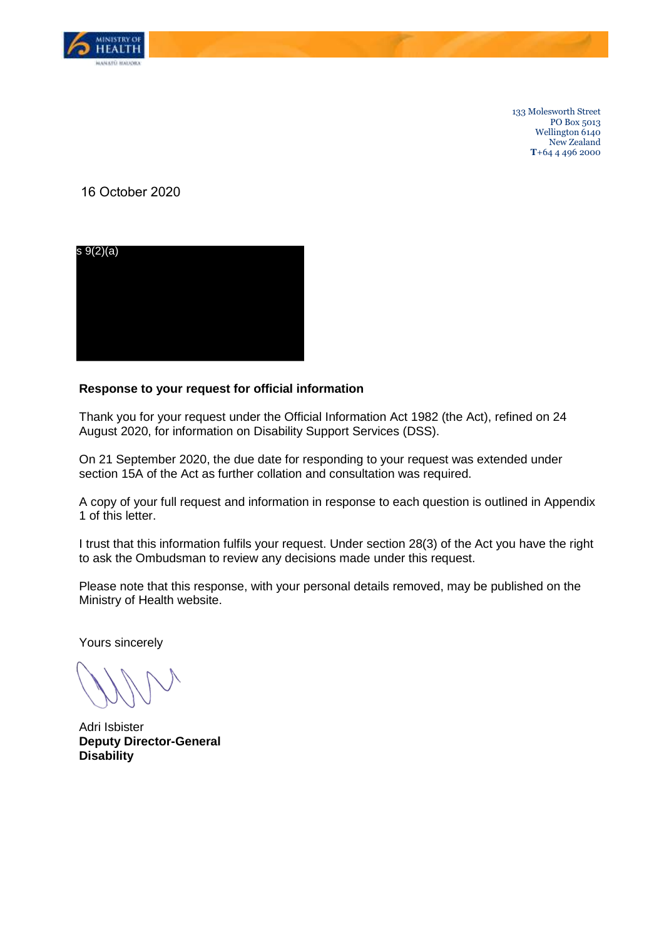

133 Molesworth Street PO Box 5013 Wellington 6140 New Zealand **T**+64 4 496 2000

16 October 2020



## **Response to your request for official information**

Thank you for your request under the Official Information Act 1982 (the Act), refined on 24 August 2020, for information on Disability Support Services (DSS).

On 21 September 2020, the due date for responding to your request was extended under section 15A of the Act as further collation and consultation was required.

A copy of your full request and information in response to each question is outlined in Appendix 1 of this letter.

I trust that this information fulfils your request. Under section 28(3) of the Act you have the right to ask the Ombudsman to review any decisions made under this request.

Please note that this response, with your personal details removed, may be published on the Ministry of Health website.

Yours sincerely

Adri Isbister **Deputy Director-General Disability**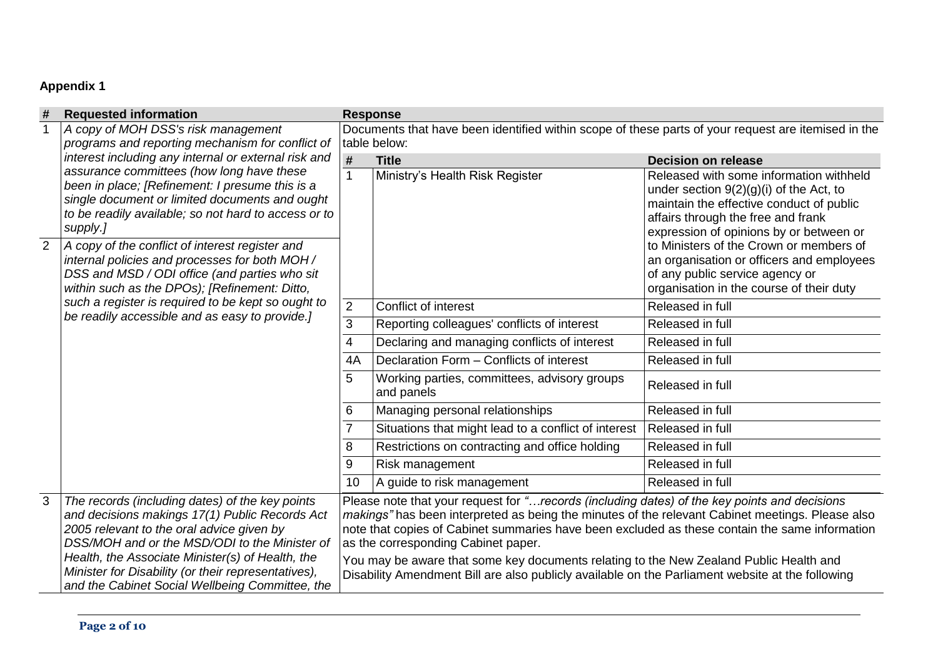## **Appendix 1**

| #              | <b>Requested information</b>                                                                                                                                                                                                                                                                               |                                                                                                                                                                                                                                                                                                                                                                                                                                                                                                                                          | <b>Response</b>                                            |                                                                                                                                                                                                                   |  |  |  |  |
|----------------|------------------------------------------------------------------------------------------------------------------------------------------------------------------------------------------------------------------------------------------------------------------------------------------------------------|------------------------------------------------------------------------------------------------------------------------------------------------------------------------------------------------------------------------------------------------------------------------------------------------------------------------------------------------------------------------------------------------------------------------------------------------------------------------------------------------------------------------------------------|------------------------------------------------------------|-------------------------------------------------------------------------------------------------------------------------------------------------------------------------------------------------------------------|--|--|--|--|
|                | A copy of MOH DSS's risk management                                                                                                                                                                                                                                                                        | Documents that have been identified within scope of these parts of your request are itemised in the                                                                                                                                                                                                                                                                                                                                                                                                                                      |                                                            |                                                                                                                                                                                                                   |  |  |  |  |
|                | programs and reporting mechanism for conflict of                                                                                                                                                                                                                                                           |                                                                                                                                                                                                                                                                                                                                                                                                                                                                                                                                          | table below:                                               |                                                                                                                                                                                                                   |  |  |  |  |
|                | interest including any internal or external risk and                                                                                                                                                                                                                                                       | $\pmb{\#}$                                                                                                                                                                                                                                                                                                                                                                                                                                                                                                                               | <b>Title</b>                                               | <b>Decision on release</b>                                                                                                                                                                                        |  |  |  |  |
|                | assurance committees (how long have these<br>been in place; [Refinement: I presume this is a<br>single document or limited documents and ought<br>to be readily available; so not hard to access or to<br>supply.]                                                                                         | $\mathbf{1}$                                                                                                                                                                                                                                                                                                                                                                                                                                                                                                                             | Ministry's Health Risk Register                            | Released with some information withheld<br>under section $9(2)(g)(i)$ of the Act, to<br>maintain the effective conduct of public<br>affairs through the free and frank<br>expression of opinions by or between or |  |  |  |  |
| $\overline{2}$ | A copy of the conflict of interest register and<br>internal policies and processes for both MOH /<br>DSS and MSD / ODI office (and parties who sit<br>within such as the DPOs); [Refinement: Ditto,                                                                                                        |                                                                                                                                                                                                                                                                                                                                                                                                                                                                                                                                          |                                                            | to Ministers of the Crown or members of<br>an organisation or officers and employees<br>of any public service agency or<br>organisation in the course of their duty                                               |  |  |  |  |
|                | such a register is required to be kept so ought to                                                                                                                                                                                                                                                         | 2                                                                                                                                                                                                                                                                                                                                                                                                                                                                                                                                        | Conflict of interest                                       | Released in full                                                                                                                                                                                                  |  |  |  |  |
|                | be readily accessible and as easy to provide.]                                                                                                                                                                                                                                                             | 3                                                                                                                                                                                                                                                                                                                                                                                                                                                                                                                                        | Reporting colleagues' conflicts of interest                | Released in full                                                                                                                                                                                                  |  |  |  |  |
|                |                                                                                                                                                                                                                                                                                                            | 4                                                                                                                                                                                                                                                                                                                                                                                                                                                                                                                                        | Declaring and managing conflicts of interest               | Released in full                                                                                                                                                                                                  |  |  |  |  |
|                |                                                                                                                                                                                                                                                                                                            | 4A                                                                                                                                                                                                                                                                                                                                                                                                                                                                                                                                       | Declaration Form - Conflicts of interest                   | Released in full                                                                                                                                                                                                  |  |  |  |  |
|                |                                                                                                                                                                                                                                                                                                            | 5                                                                                                                                                                                                                                                                                                                                                                                                                                                                                                                                        | Working parties, committees, advisory groups<br>and panels | Released in full                                                                                                                                                                                                  |  |  |  |  |
|                |                                                                                                                                                                                                                                                                                                            |                                                                                                                                                                                                                                                                                                                                                                                                                                                                                                                                          | Managing personal relationships                            | Released in full                                                                                                                                                                                                  |  |  |  |  |
|                |                                                                                                                                                                                                                                                                                                            |                                                                                                                                                                                                                                                                                                                                                                                                                                                                                                                                          | Situations that might lead to a conflict of interest       | Released in full                                                                                                                                                                                                  |  |  |  |  |
|                |                                                                                                                                                                                                                                                                                                            | 8                                                                                                                                                                                                                                                                                                                                                                                                                                                                                                                                        | Restrictions on contracting and office holding             | Released in full                                                                                                                                                                                                  |  |  |  |  |
|                |                                                                                                                                                                                                                                                                                                            | 9                                                                                                                                                                                                                                                                                                                                                                                                                                                                                                                                        | Risk management                                            | Released in full                                                                                                                                                                                                  |  |  |  |  |
|                |                                                                                                                                                                                                                                                                                                            | 10                                                                                                                                                                                                                                                                                                                                                                                                                                                                                                                                       | A guide to risk management                                 | Released in full                                                                                                                                                                                                  |  |  |  |  |
| 3              | The records (including dates) of the key points<br>and decisions makings 17(1) Public Records Act<br>2005 relevant to the oral advice given by<br>DSS/MOH and or the MSD/ODI to the Minister of<br>Health, the Associate Minister(s) of Health, the<br>Minister for Disability (or their representatives), | Please note that your request for " records (including dates) of the key points and decisions<br>makings" has been interpreted as being the minutes of the relevant Cabinet meetings. Please also<br>note that copies of Cabinet summaries have been excluded as these contain the same information<br>as the corresponding Cabinet paper.<br>You may be aware that some key documents relating to the New Zealand Public Health and<br>Disability Amendment Bill are also publicly available on the Parliament website at the following |                                                            |                                                                                                                                                                                                                   |  |  |  |  |
|                | and the Cabinet Social Wellbeing Committee, the                                                                                                                                                                                                                                                            |                                                                                                                                                                                                                                                                                                                                                                                                                                                                                                                                          |                                                            |                                                                                                                                                                                                                   |  |  |  |  |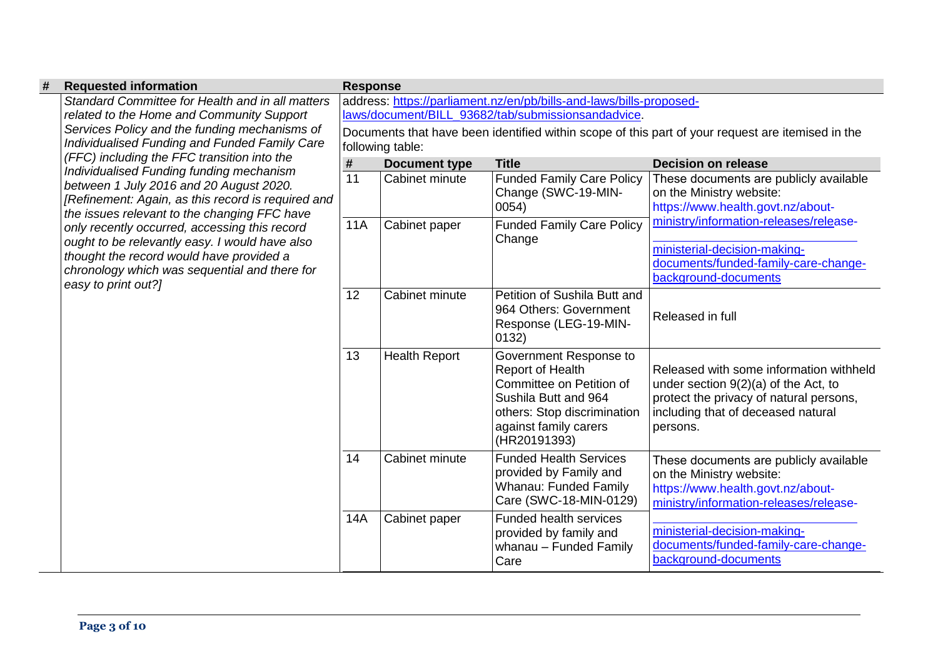| # | <b>Requested information</b>                                                                                                                                                                                                                                                                                                               | <b>Response</b> |                                                                                                                       |                                                                                                                                                                        |                                                                                                                                                                                |  |  |  |
|---|--------------------------------------------------------------------------------------------------------------------------------------------------------------------------------------------------------------------------------------------------------------------------------------------------------------------------------------------|-----------------|-----------------------------------------------------------------------------------------------------------------------|------------------------------------------------------------------------------------------------------------------------------------------------------------------------|--------------------------------------------------------------------------------------------------------------------------------------------------------------------------------|--|--|--|
|   | Standard Committee for Health and in all matters<br>related to the Home and Community Support                                                                                                                                                                                                                                              |                 | address: https://parliament.nz/en/pb/bills-and-laws/bills-proposed-                                                   |                                                                                                                                                                        |                                                                                                                                                                                |  |  |  |
|   |                                                                                                                                                                                                                                                                                                                                            |                 | laws/document/BILL 93682/tab/submissionsandadvice.                                                                    |                                                                                                                                                                        |                                                                                                                                                                                |  |  |  |
|   | Services Policy and the funding mechanisms of<br>Individualised Funding and Funded Family Care<br>(FFC) including the FFC transition into the<br>Individualised Funding funding mechanism<br>between 1 July 2016 and 20 August 2020.<br>[Refinement: Again, as this record is required and<br>the issues relevant to the changing FFC have |                 | Documents that have been identified within scope of this part of your request are itemised in the<br>following table: |                                                                                                                                                                        |                                                                                                                                                                                |  |  |  |
|   |                                                                                                                                                                                                                                                                                                                                            | #               | <b>Document type</b>                                                                                                  | <b>Title</b>                                                                                                                                                           | <b>Decision on release</b>                                                                                                                                                     |  |  |  |
|   |                                                                                                                                                                                                                                                                                                                                            | 11              | Cabinet minute                                                                                                        | <b>Funded Family Care Policy</b><br>Change (SWC-19-MIN-<br>0054)                                                                                                       | These documents are publicly available<br>on the Ministry website:<br>https://www.health.govt.nz/about-                                                                        |  |  |  |
|   | only recently occurred, accessing this record                                                                                                                                                                                                                                                                                              | <b>11A</b>      | Cabinet paper                                                                                                         | <b>Funded Family Care Policy</b><br>Change                                                                                                                             | ministry/information-releases/release-                                                                                                                                         |  |  |  |
|   | ought to be relevantly easy. I would have also<br>thought the record would have provided a<br>chronology which was sequential and there for<br>easy to print out?]                                                                                                                                                                         |                 |                                                                                                                       |                                                                                                                                                                        | ministerial-decision-making-<br>documents/funded-family-care-change-<br>background-documents                                                                                   |  |  |  |
|   |                                                                                                                                                                                                                                                                                                                                            | 12              | Cabinet minute                                                                                                        | Petition of Sushila Butt and<br>964 Others: Government<br>Response (LEG-19-MIN-<br>0132)                                                                               | Released in full                                                                                                                                                               |  |  |  |
|   |                                                                                                                                                                                                                                                                                                                                            | 13              | <b>Health Report</b>                                                                                                  | Government Response to<br>Report of Health<br>Committee on Petition of<br>Sushila Butt and 964<br>others: Stop discrimination<br>against family carers<br>(HR20191393) | Released with some information withheld<br>under section $9(2)(a)$ of the Act, to<br>protect the privacy of natural persons,<br>including that of deceased natural<br>persons. |  |  |  |
|   |                                                                                                                                                                                                                                                                                                                                            | 14              | Cabinet minute                                                                                                        | <b>Funded Health Services</b><br>provided by Family and<br>Whanau: Funded Family<br>Care (SWC-18-MIN-0129)                                                             | These documents are publicly available<br>on the Ministry website:<br>https://www.health.govt.nz/about-<br>ministry/information-releases/release-                              |  |  |  |
|   |                                                                                                                                                                                                                                                                                                                                            | 14A             | Cabinet paper                                                                                                         | Funded health services<br>provided by family and<br>whanau - Funded Family<br>Care                                                                                     | ministerial-decision-making-<br>documents/funded-family-care-change-<br>background-documents                                                                                   |  |  |  |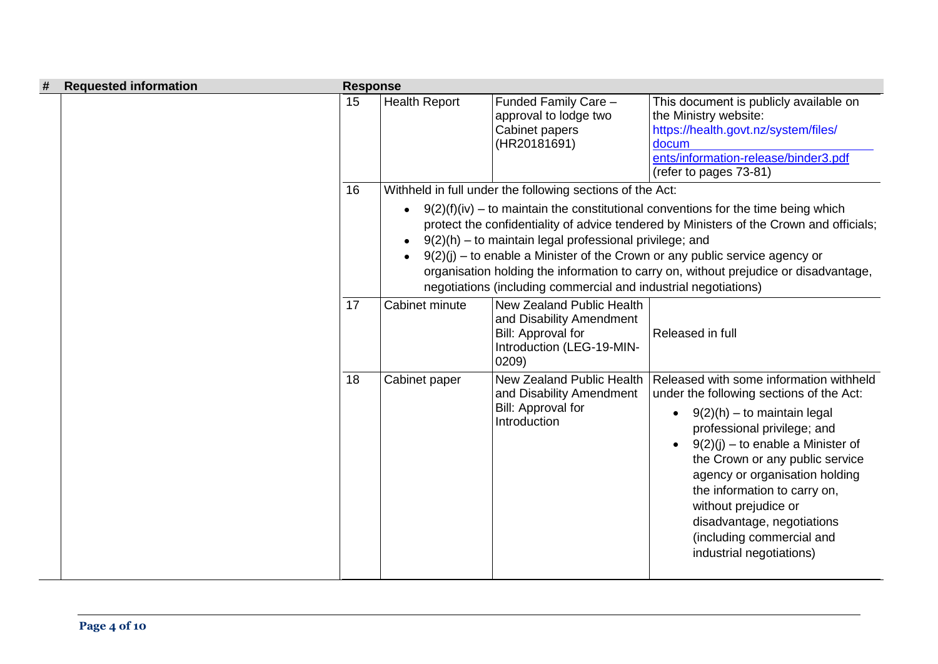| # | <b>Requested information</b> | <b>Response</b> |                      |                                                                                                                                                                                         |                                                                                                                                                                                                                                                                                                                                                                                                                |
|---|------------------------------|-----------------|----------------------|-----------------------------------------------------------------------------------------------------------------------------------------------------------------------------------------|----------------------------------------------------------------------------------------------------------------------------------------------------------------------------------------------------------------------------------------------------------------------------------------------------------------------------------------------------------------------------------------------------------------|
|   |                              | 15              | <b>Health Report</b> | Funded Family Care -<br>approval to lodge two<br>Cabinet papers<br>(HR20181691)                                                                                                         | This document is publicly available on<br>the Ministry website:<br>https://health.govt.nz/system/files/<br>docum<br>ents/information-release/binder3.pdf<br>(refer to pages 73-81)                                                                                                                                                                                                                             |
|   |                              | 16              |                      | Withheld in full under the following sections of the Act:<br>9(2)(h) – to maintain legal professional privilege; and<br>negotiations (including commercial and industrial negotiations) | $9(2)(f)(iv)$ – to maintain the constitutional conventions for the time being which<br>protect the confidentiality of advice tendered by Ministers of the Crown and officials;<br>$9(2)(j)$ – to enable a Minister of the Crown or any public service agency or<br>organisation holding the information to carry on, without prejudice or disadvantage,                                                        |
|   |                              | 17              | Cabinet minute       | New Zealand Public Health<br>and Disability Amendment<br>Bill: Approval for<br>Introduction (LEG-19-MIN-<br>0209)                                                                       | Released in full                                                                                                                                                                                                                                                                                                                                                                                               |
|   |                              | 18              | Cabinet paper        | <b>New Zealand Public Health</b><br>and Disability Amendment<br>Bill: Approval for<br>Introduction                                                                                      | Released with some information withheld<br>under the following sections of the Act:<br>$9(2)(h)$ – to maintain legal<br>professional privilege; and<br>$9(2)(j)$ – to enable a Minister of<br>the Crown or any public service<br>agency or organisation holding<br>the information to carry on,<br>without prejudice or<br>disadvantage, negotiations<br>(including commercial and<br>industrial negotiations) |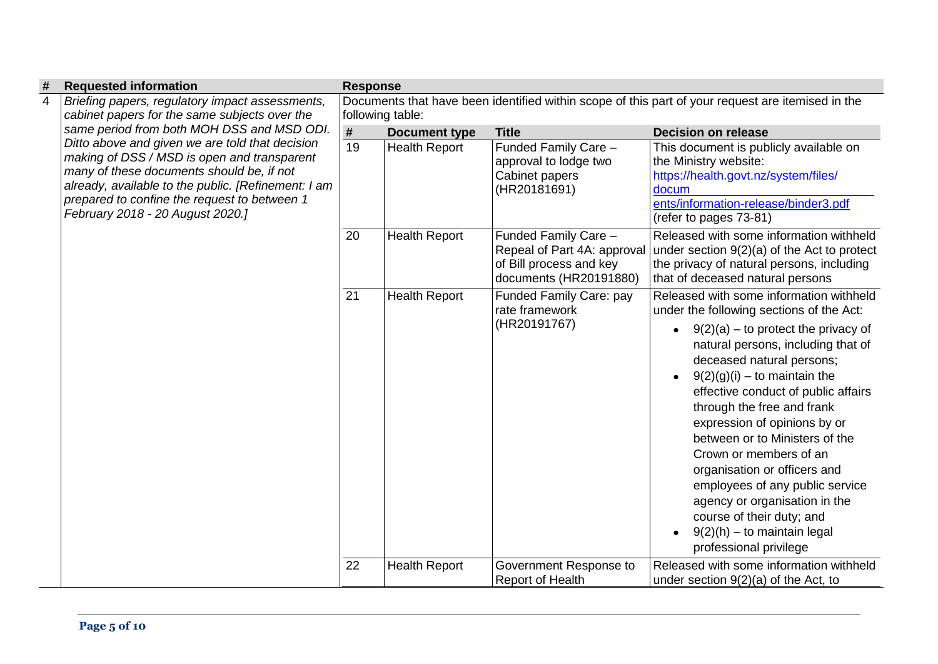| #              | <b>Requested information</b>                                                                                                                                                                                                                                                                                                                                                                                                             | <b>Response</b>                                                                                   |                      |                                                                                                          |                                                                                                                                                                                                                                                                                                                                                                                                                                                                                                                                                                                                             |  |  |
|----------------|------------------------------------------------------------------------------------------------------------------------------------------------------------------------------------------------------------------------------------------------------------------------------------------------------------------------------------------------------------------------------------------------------------------------------------------|---------------------------------------------------------------------------------------------------|----------------------|----------------------------------------------------------------------------------------------------------|-------------------------------------------------------------------------------------------------------------------------------------------------------------------------------------------------------------------------------------------------------------------------------------------------------------------------------------------------------------------------------------------------------------------------------------------------------------------------------------------------------------------------------------------------------------------------------------------------------------|--|--|
| $\overline{4}$ | Briefing papers, regulatory impact assessments,<br>cabinet papers for the same subjects over the<br>same period from both MOH DSS and MSD ODI.<br>Ditto above and given we are told that decision<br>making of DSS / MSD is open and transparent<br>many of these documents should be, if not<br>already, available to the public. [Refinement: I am<br>prepared to confine the request to between 1<br>February 2018 - 20 August 2020.] | Documents that have been identified within scope of this part of your request are itemised in the |                      |                                                                                                          |                                                                                                                                                                                                                                                                                                                                                                                                                                                                                                                                                                                                             |  |  |
|                |                                                                                                                                                                                                                                                                                                                                                                                                                                          | following table:                                                                                  |                      |                                                                                                          |                                                                                                                                                                                                                                                                                                                                                                                                                                                                                                                                                                                                             |  |  |
|                |                                                                                                                                                                                                                                                                                                                                                                                                                                          | #                                                                                                 | <b>Document type</b> | <b>Title</b>                                                                                             | <b>Decision on release</b>                                                                                                                                                                                                                                                                                                                                                                                                                                                                                                                                                                                  |  |  |
|                |                                                                                                                                                                                                                                                                                                                                                                                                                                          | $\overline{19}$                                                                                   | <b>Health Report</b> | Funded Family Care -<br>approval to lodge two<br>Cabinet papers<br>(HR20181691)                          | This document is publicly available on<br>the Ministry website:<br>https://health.govt.nz/system/files/<br>docum<br>ents/information-release/binder3.pdf<br>(refer to pages 73-81)                                                                                                                                                                                                                                                                                                                                                                                                                          |  |  |
|                |                                                                                                                                                                                                                                                                                                                                                                                                                                          | 20                                                                                                | <b>Health Report</b> | Funded Family Care -<br>Repeal of Part 4A: approval<br>of Bill process and key<br>documents (HR20191880) | Released with some information withheld<br>under section $9(2)(a)$ of the Act to protect<br>the privacy of natural persons, including<br>that of deceased natural persons                                                                                                                                                                                                                                                                                                                                                                                                                                   |  |  |
|                |                                                                                                                                                                                                                                                                                                                                                                                                                                          | 21                                                                                                | <b>Health Report</b> | Funded Family Care: pay<br>rate framework<br>(HR20191767)                                                | Released with some information withheld<br>under the following sections of the Act:<br>$9(2)(a)$ – to protect the privacy of<br>natural persons, including that of<br>deceased natural persons;<br>$9(2)(g)(i)$ – to maintain the<br>$\bullet$<br>effective conduct of public affairs<br>through the free and frank<br>expression of opinions by or<br>between or to Ministers of the<br>Crown or members of an<br>organisation or officers and<br>employees of any public service<br>agency or organisation in the<br>course of their duty; and<br>$9(2)(h)$ – to maintain legal<br>professional privilege |  |  |
|                |                                                                                                                                                                                                                                                                                                                                                                                                                                          | 22                                                                                                | <b>Health Report</b> | Government Response to<br><b>Report of Health</b>                                                        | Released with some information withheld<br>under section $9(2)(a)$ of the Act, to                                                                                                                                                                                                                                                                                                                                                                                                                                                                                                                           |  |  |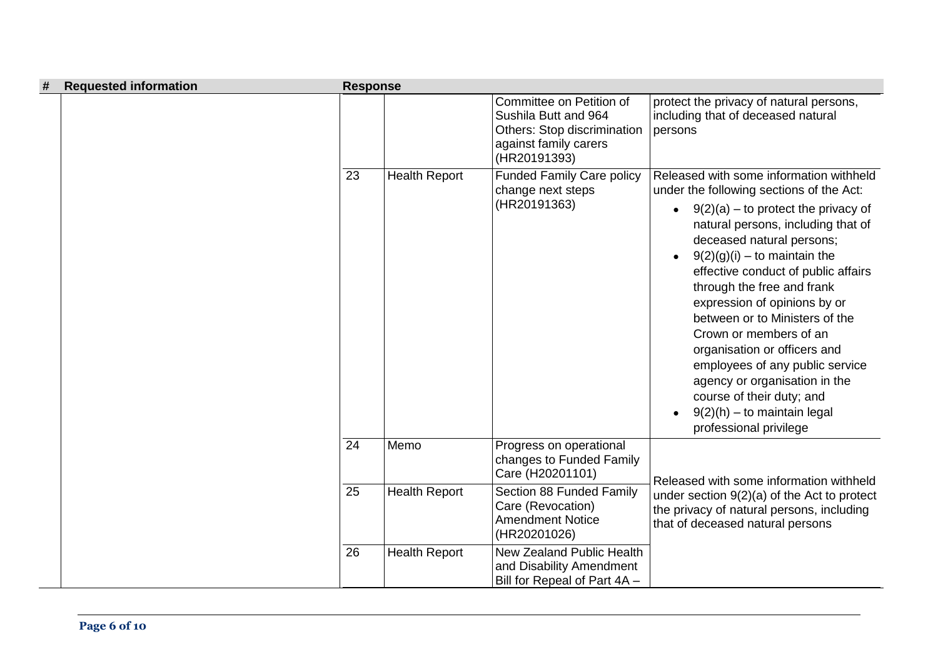| #<br><b>Requested information</b> | <b>Response</b> |                      |                                                                                                                          |                                                                                                                                                                                                                                                                                                                                                                                                                                                                                                                                   |
|-----------------------------------|-----------------|----------------------|--------------------------------------------------------------------------------------------------------------------------|-----------------------------------------------------------------------------------------------------------------------------------------------------------------------------------------------------------------------------------------------------------------------------------------------------------------------------------------------------------------------------------------------------------------------------------------------------------------------------------------------------------------------------------|
|                                   |                 |                      | Committee on Petition of<br>Sushila Butt and 964<br>Others: Stop discrimination<br>against family carers<br>(HR20191393) | protect the privacy of natural persons,<br>including that of deceased natural<br>persons                                                                                                                                                                                                                                                                                                                                                                                                                                          |
|                                   | 23              | <b>Health Report</b> | <b>Funded Family Care policy</b><br>change next steps                                                                    | Released with some information withheld<br>under the following sections of the Act:                                                                                                                                                                                                                                                                                                                                                                                                                                               |
|                                   |                 |                      | (HR20191363)                                                                                                             | $9(2)(a)$ – to protect the privacy of<br>$\bullet$<br>natural persons, including that of<br>deceased natural persons;<br>$9(2)(g)(i)$ – to maintain the<br>$\bullet$<br>effective conduct of public affairs<br>through the free and frank<br>expression of opinions by or<br>between or to Ministers of the<br>Crown or members of an<br>organisation or officers and<br>employees of any public service<br>agency or organisation in the<br>course of their duty; and<br>$9(2)(h) -$ to maintain legal<br>professional privilege |
|                                   | 24              | Memo                 | Progress on operational<br>changes to Funded Family<br>Care (H20201101)                                                  | Released with some information withheld                                                                                                                                                                                                                                                                                                                                                                                                                                                                                           |
|                                   | 25              | <b>Health Report</b> | Section 88 Funded Family<br>Care (Revocation)<br><b>Amendment Notice</b><br>(HR20201026)                                 | under section $9(2)(a)$ of the Act to protect<br>the privacy of natural persons, including<br>that of deceased natural persons                                                                                                                                                                                                                                                                                                                                                                                                    |
|                                   | 26              | <b>Health Report</b> | New Zealand Public Health<br>and Disability Amendment<br>Bill for Repeal of Part 4A -                                    |                                                                                                                                                                                                                                                                                                                                                                                                                                                                                                                                   |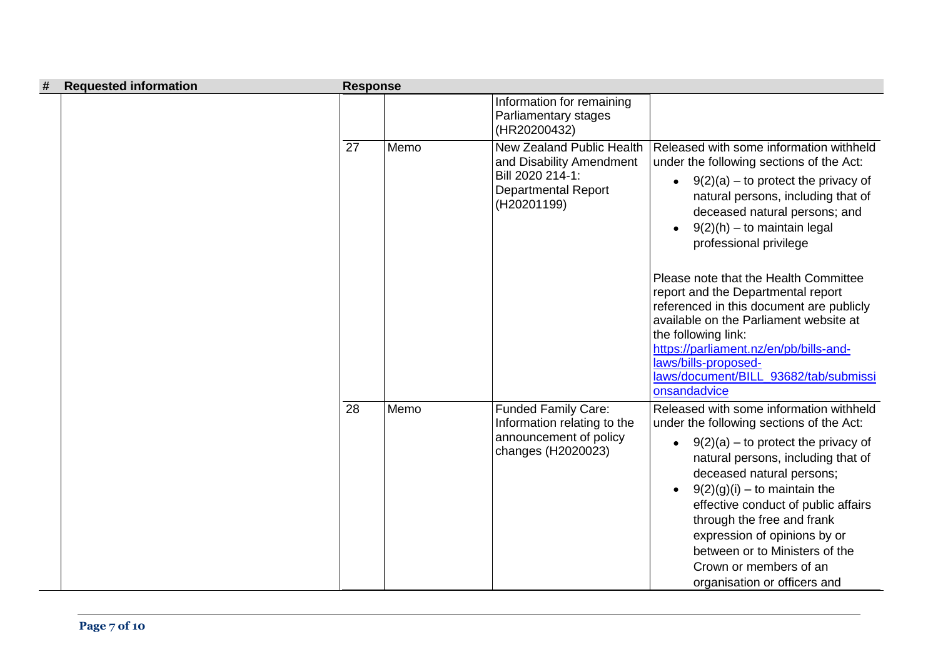| # | <b>Requested information</b> | <b>Response</b> |      |                                                                                                                        |                                                                                                                                                                                                                                                                                                                                                                                                                                                                                                                                           |
|---|------------------------------|-----------------|------|------------------------------------------------------------------------------------------------------------------------|-------------------------------------------------------------------------------------------------------------------------------------------------------------------------------------------------------------------------------------------------------------------------------------------------------------------------------------------------------------------------------------------------------------------------------------------------------------------------------------------------------------------------------------------|
|   |                              |                 |      | Information for remaining<br>Parliamentary stages<br>(HR20200432)                                                      |                                                                                                                                                                                                                                                                                                                                                                                                                                                                                                                                           |
|   |                              | 27              | Memo | New Zealand Public Health<br>and Disability Amendment<br>Bill 2020 214-1:<br><b>Departmental Report</b><br>(H20201199) | Released with some information withheld<br>under the following sections of the Act:<br>$9(2)(a)$ – to protect the privacy of<br>$\bullet$<br>natural persons, including that of<br>deceased natural persons; and<br>$9(2)(h)$ – to maintain legal<br>professional privilege<br>Please note that the Health Committee<br>report and the Departmental report<br>referenced in this document are publicly<br>available on the Parliament website at<br>the following link:<br>https://parliament.nz/en/pb/bills-and-<br>laws/bills-proposed- |
|   |                              |                 |      |                                                                                                                        | laws/document/BILL_93682/tab/submissi<br>onsandadvice                                                                                                                                                                                                                                                                                                                                                                                                                                                                                     |
|   |                              | 28              | Memo | <b>Funded Family Care:</b><br>Information relating to the<br>announcement of policy<br>changes (H2020023)              | Released with some information withheld<br>under the following sections of the Act:<br>$9(2)(a)$ – to protect the privacy of<br>$\bullet$<br>natural persons, including that of<br>deceased natural persons;<br>$9(2)(g)(i)$ – to maintain the<br>effective conduct of public affairs<br>through the free and frank<br>expression of opinions by or<br>between or to Ministers of the<br>Crown or members of an<br>organisation or officers and                                                                                           |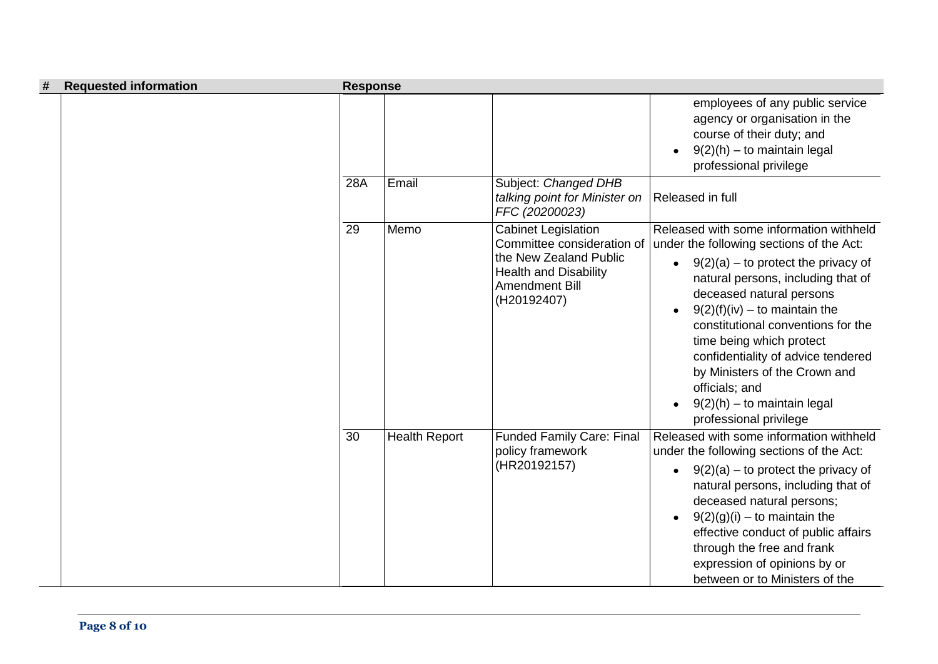| # | <b>Requested information</b> | <b>Response</b> |                      |                                                                                                                                                            |                                                                                                                                                                                                                                                                                                                                                                                                                                                                      |
|---|------------------------------|-----------------|----------------------|------------------------------------------------------------------------------------------------------------------------------------------------------------|----------------------------------------------------------------------------------------------------------------------------------------------------------------------------------------------------------------------------------------------------------------------------------------------------------------------------------------------------------------------------------------------------------------------------------------------------------------------|
|   |                              | <b>28A</b>      | Email                | Subject: Changed DHB<br>talking point for Minister on                                                                                                      | employees of any public service<br>agency or organisation in the<br>course of their duty; and<br>$9(2)(h) - to$ maintain legal<br>professional privilege<br>Released in full                                                                                                                                                                                                                                                                                         |
|   |                              |                 |                      | FFC (20200023)                                                                                                                                             |                                                                                                                                                                                                                                                                                                                                                                                                                                                                      |
|   |                              | 29              | Memo                 | <b>Cabinet Legislation</b><br>Committee consideration of<br>the New Zealand Public<br><b>Health and Disability</b><br><b>Amendment Bill</b><br>(H20192407) | Released with some information withheld<br>under the following sections of the Act:<br>$9(2)(a)$ – to protect the privacy of<br>$\bullet$<br>natural persons, including that of<br>deceased natural persons<br>$9(2)(f)(iv) -$ to maintain the<br>constitutional conventions for the<br>time being which protect<br>confidentiality of advice tendered<br>by Ministers of the Crown and<br>officials; and<br>$9(2)(h)$ – to maintain legal<br>professional privilege |
|   |                              | 30              | <b>Health Report</b> | <b>Funded Family Care: Final</b><br>policy framework<br>(HR20192157)                                                                                       | Released with some information withheld<br>under the following sections of the Act:<br>$9(2)(a)$ – to protect the privacy of<br>$\bullet$<br>natural persons, including that of<br>deceased natural persons;<br>$9(2)(g)(i)$ – to maintain the<br>$\bullet$<br>effective conduct of public affairs<br>through the free and frank<br>expression of opinions by or<br>between or to Ministers of the                                                                   |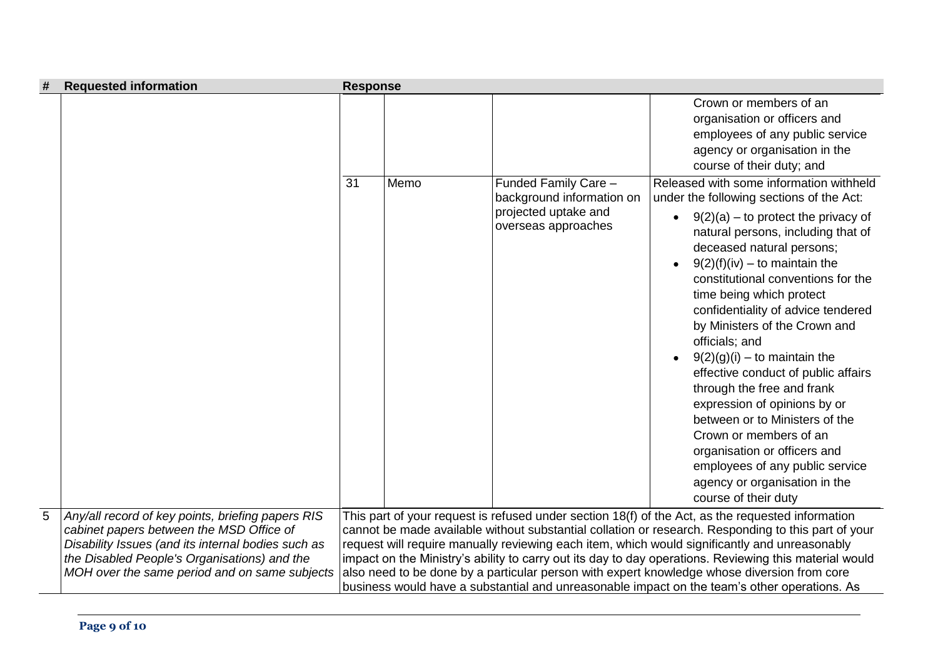| # | <b>Requested information</b>                                                                                                                                                                                                                         | <b>Response</b> |      |                                                                          |                                                                                                                                                                                                                                                                                                                                                                                                                                                                                                                                                                                                                                                                                   |
|---|------------------------------------------------------------------------------------------------------------------------------------------------------------------------------------------------------------------------------------------------------|-----------------|------|--------------------------------------------------------------------------|-----------------------------------------------------------------------------------------------------------------------------------------------------------------------------------------------------------------------------------------------------------------------------------------------------------------------------------------------------------------------------------------------------------------------------------------------------------------------------------------------------------------------------------------------------------------------------------------------------------------------------------------------------------------------------------|
|   |                                                                                                                                                                                                                                                      | 31              | Memo | Funded Family Care -                                                     | Crown or members of an<br>organisation or officers and<br>employees of any public service<br>agency or organisation in the<br>course of their duty; and<br>Released with some information withheld                                                                                                                                                                                                                                                                                                                                                                                                                                                                                |
|   |                                                                                                                                                                                                                                                      |                 |      | background information on<br>projected uptake and<br>overseas approaches | under the following sections of the Act:<br>$9(2)(a)$ – to protect the privacy of<br>natural persons, including that of<br>deceased natural persons;<br>$9(2)(f)(iv) -$ to maintain the<br>constitutional conventions for the<br>time being which protect<br>confidentiality of advice tendered<br>by Ministers of the Crown and<br>officials; and<br>$9(2)(g)(i)$ – to maintain the<br>effective conduct of public affairs<br>through the free and frank<br>expression of opinions by or<br>between or to Ministers of the<br>Crown or members of an<br>organisation or officers and<br>employees of any public service<br>agency or organisation in the<br>course of their duty |
| 5 | Any/all record of key points, briefing papers RIS<br>cabinet papers between the MSD Office of<br>Disability Issues (and its internal bodies such as<br>the Disabled People's Organisations) and the<br>MOH over the same period and on same subjects |                 |      |                                                                          | This part of your request is refused under section 18(f) of the Act, as the requested information<br>cannot be made available without substantial collation or research. Responding to this part of your<br>request will require manually reviewing each item, which would significantly and unreasonably<br>impact on the Ministry's ability to carry out its day to day operations. Reviewing this material would<br>also need to be done by a particular person with expert knowledge whose diversion from core<br>business would have a substantial and unreasonable impact on the team's other operations. As                                                                |